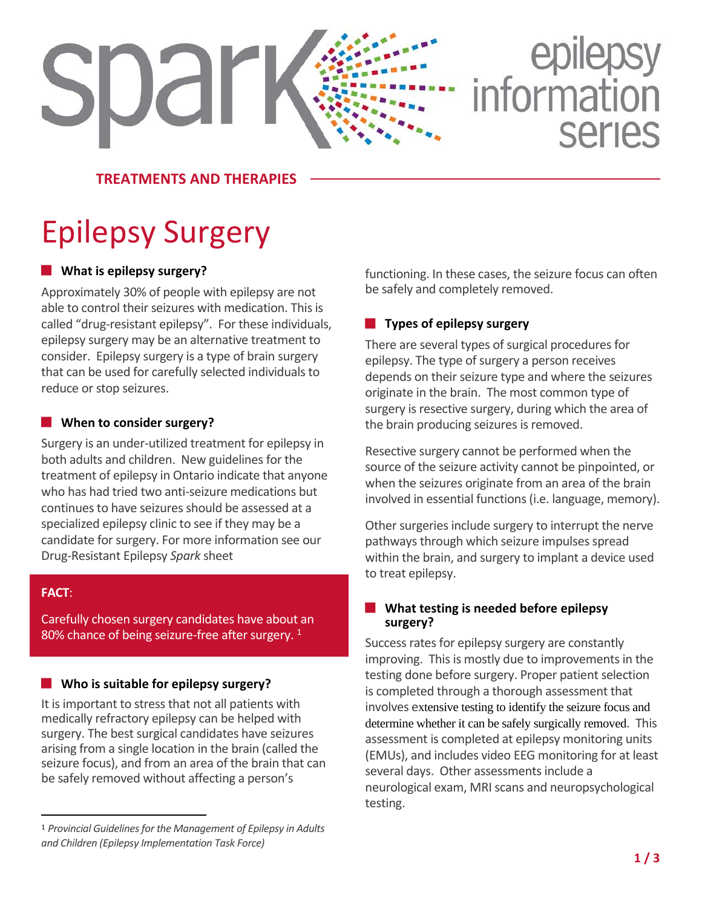# epilepsy<br>information **SDar Series**

**TREATMENTS AND THERAPIES**

## Epilepsy Surgery

### **What is epilepsy surgery?**

Approximately 30% of people with epilepsy are not able to control their seizures with medication. This is called "drug-resistant epilepsy". For these individuals, epilepsy surgery may be an alternative treatment to consider. Epilepsy surgery is a type of brain surgery that can be used for carefully selected individuals to reduce or stop seizures.

### **When to consider surgery?**

Surgery is an under-utilized treatment for epilepsy in both adults and children. New guidelines for the treatment of epilepsy in Ontario indicate that anyone who has had tried two anti-seizure medications but continues to have seizures should be assessed at a specialized epilepsy clinic to see if they may be a candidate for surgery. For more information see our Drug-Resistant Epilepsy *Spark* sheet

### **FACT**:

 $\overline{a}$ 

Carefully chosen surgery candidates have about an 80% chance of being seizure-free after surgery.  $^1$  $^1$ 

### **Who is suitable for epilepsy surgery?**

It is important to stress that not all patients with medically refractory epilepsy can be helped with surgery. The best surgical candidates have seizures arising from a single location in the brain (called the seizure focus), and from an area of the brain that can be safely removed without affecting a person's

functioning. In these cases, the seizure focus can often be safely and completely removed.

### **Types of epilepsy surgery**

There are several types of surgical procedures for epilepsy. The type of surgery a person receives depends on their seizure type and where the seizures originate in the brain. The most common type of surgery is resective surgery, during which the area of the brain producing seizures is removed.

Resective surgery cannot be performed when the source of the seizure activity cannot be pinpointed, or when the seizures originate from an area of the brain involved in essential functions (i.e. language, memory).

Other surgeries include surgery to interrupt the nerve pathways through which seizure impulses spread within the brain, and surgery to implant a device used to treat epilepsy.

### **What testing is needed before epilepsy surgery?**

Success rates for epilepsy surgery are constantly improving. This is mostly due to improvements in the testing done before surgery. Proper patient selection is completed through a thorough assessment that involves extensive testing to identify the seizure focus and determine whether it can be safely surgically removed. This assessment is completed at epilepsy monitoring units (EMUs), and includes video EEG monitoring for at least several days. Other assessments include a neurological exam, MRI scans and neuropsychological testing.

<span id="page-0-0"></span><sup>1</sup> *Provincial Guidelines for the Management of Epilepsy in Adults and Children (Epilepsy Implementation Task Force)*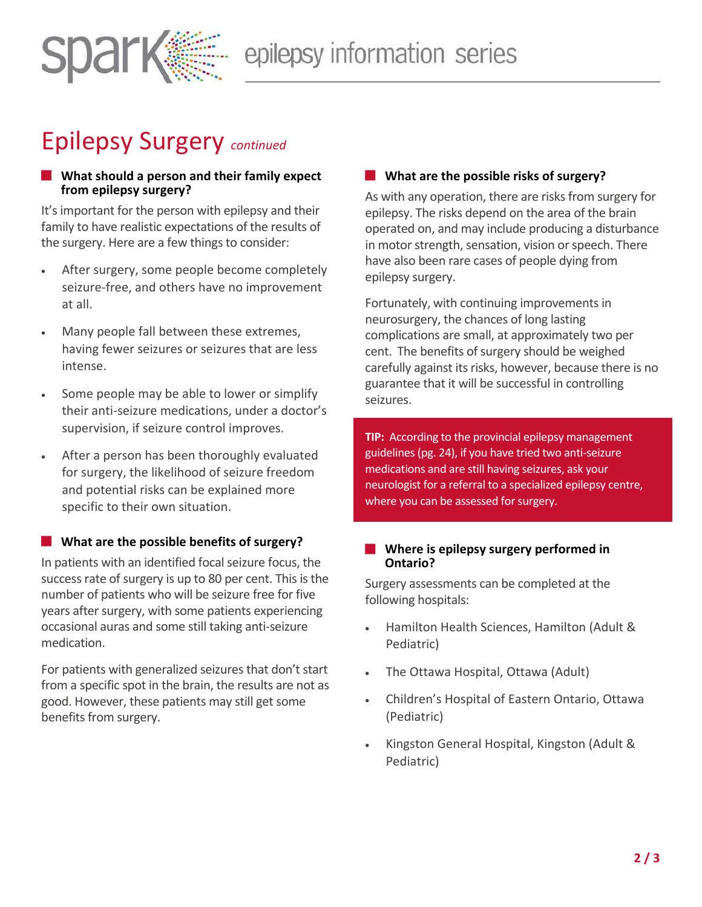

### Epilepsy Surgery *continued*

### **What should a person and their family expect from epilepsy surgery?**

It's important for the person with epilepsy and their family to have realistic expectations of the results of the surgery. Here are a few things to consider:

- After surgery, some people become completely seizure-free, and others have no improvement at all.
- Many people fall between these extremes, having fewer seizures or seizures that are less intense.
- Some people may be able to lower or simplify their anti-seizure medications, under a doctor's supervision, if seizure control improves.
- After a person has been thoroughly evaluated for surgery, the likelihood of seizure freedom and potential risks can be explained more specific to their own situation.

### **What are the possible benefits of surgery?**

In patients with an identified focal seizure focus, the success rate of surgery is up to 80 per cent. This is the number of patients who will be seizure free for five years after surgery, with some patients experiencing occasional auras and some still taking anti-seizure medication.

For patients with generalized seizures that don't start from a specific spot in the brain, the results are not as good. However, these patients may still get some benefits from surgery.

### **What are the possible risks of surgery?**

As with any operation, there are risks from surgery for epilepsy. The risks depend on the area of the brain operated on, and may include producing a disturbance in motor strength, sensation, vision or speech. There have also been rare cases of people dying from epilepsy surgery.

Fortunately, with continuing improvements in neurosurgery, the chances of long lasting complications are small, at approximately two per cent. The benefits of surgery should be weighed carefully against its risks, however, because there is no guarantee that it will be successful in controlling seizures.

**TIP:** According to the provincial epilepsy management guidelines(pg. 24), if you have tried two anti-seizure medications and are still having seizures, ask your neurologist for a referral to a specialized epilepsy centre, where you can be assessed for surgery.

### **Where is epilepsy surgery performed in Ontario?**

Surgery assessments can be completed at the following hospitals:

- Hamilton Health Sciences, Hamilton (Adult & Pediatric)
- The Ottawa Hospital, Ottawa (Adult)
- Children's Hospital of Eastern Ontario, Ottawa (Pediatric)
- Kingston General Hospital, Kingston (Adult & Pediatric)